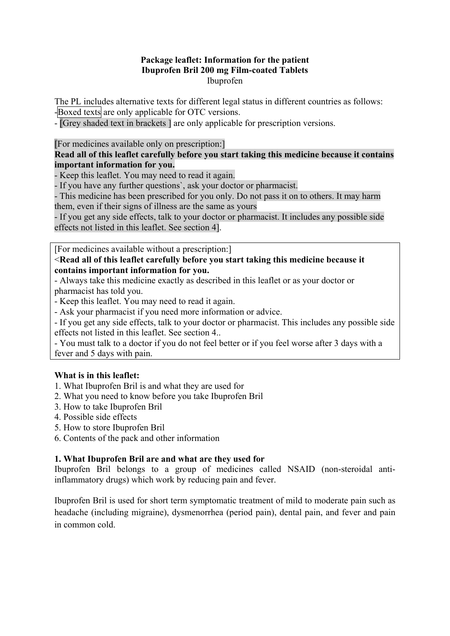## **Package leaflet: Information for the patient Ibuprofen Bril 200 mg Film-coated Tablets**  Ibuprofen

The PL includes alternative texts for different legal status in different countries as follows: -Boxed texts are only applicable for OTC versions.

- [Grey shaded text in brackets ] are only applicable for prescription versions.

[For medicines available only on prescription:]

## **Read all of this leaflet carefully before you start taking this medicine because it contains important information for you.**

- Keep this leaflet. You may need to read it again.

- If you have any further questions`, ask your doctor or pharmacist.

- This medicine has been prescribed for you only. Do not pass it on to others. It may harm them, even if their signs of illness are the same as yours

- If you get any side effects, talk to your doctor or pharmacist. It includes any possible side effects not listed in this leaflet. See section 4].

[For medicines available without a prescription:]

## <**Read all of this leaflet carefully before you start taking this medicine because it contains important information for you.**

- Always take this medicine exactly as described in this leaflet or as your doctor or pharmacist has told you.

- Keep this leaflet. You may need to read it again.

- Ask your pharmacist if you need more information or advice.

- If you get any side effects, talk to your doctor or pharmacist. This includes any possible side effects not listed in this leaflet. See section 4..

- You must talk to a doctor if you do not feel better or if you feel worse after 3 days with a fever and 5 days with pain.

# **What is in this leaflet:**

- 1. What Ibuprofen Bril is and what they are used for
- 2. What you need to know before you take Ibuprofen Bril
- 3. How to take Ibuprofen Bril
- 4. Possible side effects
- 5. How to store Ibuprofen Bril
- 6. Contents of the pack and other information

#### **1. What Ibuprofen Bril are and what are they used for**

Ibuprofen Bril belongs to a group of medicines called NSAID (non-steroidal antiinflammatory drugs) which work by reducing pain and fever.

Ibuprofen Bril is used for short term symptomatic treatment of mild to moderate pain such as headache (including migraine), dysmenorrhea (period pain), dental pain, and fever and pain in common cold.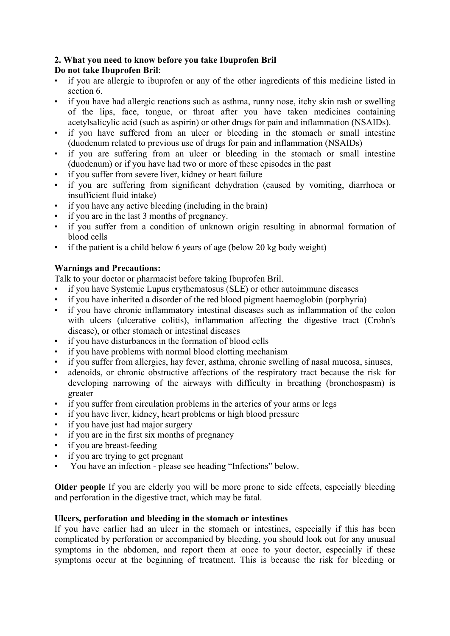# **2. What you need to know before you take Ibuprofen Bril**

# **Do not take Ibuprofen Bril**:

- if you are allergic to ibuprofen or any of the other ingredients of this medicine listed in section 6.
- if you have had allergic reactions such as asthma, runny nose, itchy skin rash or swelling of the lips, face, tongue, or throat after you have taken medicines containing acetylsalicylic acid (such as aspirin) or other drugs for pain and inflammation (NSAIDs).
- if you have suffered from an ulcer or bleeding in the stomach or small intestine (duodenum related to previous use of drugs for pain and inflammation (NSAIDs)
- if you are suffering from an ulcer or bleeding in the stomach or small intestine (duodenum) or if you have had two or more of these episodes in the past
- if you suffer from severe liver, kidney or heart failure
- if you are suffering from significant dehydration (caused by vomiting, diarrhoea or insufficient fluid intake)
- if you have any active bleeding (including in the brain)
- if you are in the last 3 months of pregnancy.
- if you suffer from a condition of unknown origin resulting in abnormal formation of blood cells
- if the patient is a child below 6 years of age (below 20 kg body weight)

# **Warnings and Precautions:**

Talk to your doctor or pharmacist before taking Ibuprofen Bril.

- if you have Systemic Lupus erythematosus (SLE) or other autoimmune diseases
- if you have inherited a disorder of the red blood pigment haemoglobin (porphyria)
- if you have chronic inflammatory intestinal diseases such as inflammation of the colon with ulcers (ulcerative colitis), inflammation affecting the digestive tract (Crohn's disease), or other stomach or intestinal diseases
- if you have disturbances in the formation of blood cells
- if you have problems with normal blood clotting mechanism
- if you suffer from allergies, hay fever, asthma, chronic swelling of nasal mucosa, sinuses,
- adenoids, or chronic obstructive affections of the respiratory tract because the risk for developing narrowing of the airways with difficulty in breathing (bronchospasm) is greater
- if you suffer from circulation problems in the arteries of your arms or legs
- if you have liver, kidney, heart problems or high blood pressure
- if you have just had major surgery
- if you are in the first six months of pregnancy
- if you are breast-feeding
- if you are trying to get pregnant
- You have an infection please see heading "Infections" below.

**Older people** If you are elderly you will be more prone to side effects, especially bleeding and perforation in the digestive tract, which may be fatal.

# **Ulcers, perforation and bleeding in the stomach or intestines**

If you have earlier had an ulcer in the stomach or intestines, especially if this has been complicated by perforation or accompanied by bleeding, you should look out for any unusual symptoms in the abdomen, and report them at once to your doctor, especially if these symptoms occur at the beginning of treatment. This is because the risk for bleeding or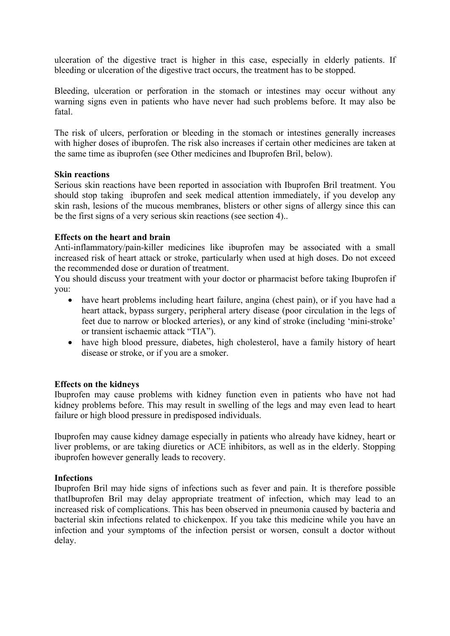ulceration of the digestive tract is higher in this case, especially in elderly patients. If bleeding or ulceration of the digestive tract occurs, the treatment has to be stopped.

Bleeding, ulceration or perforation in the stomach or intestines may occur without any warning signs even in patients who have never had such problems before. It may also be fatal.

The risk of ulcers, perforation or bleeding in the stomach or intestines generally increases with higher doses of ibuprofen. The risk also increases if certain other medicines are taken at the same time as ibuprofen (see Other medicines and Ibuprofen Bril, below).

#### **Skin reactions**

Serious skin reactions have been reported in association with Ibuprofen Bril treatment. You should stop taking ibuprofen and seek medical attention immediately, if you develop any skin rash, lesions of the mucous membranes, blisters or other signs of allergy since this can be the first signs of a very serious skin reactions (see section 4)..

#### **Effects on the heart and brain**

Anti-inflammatory/pain-killer medicines like ibuprofen may be associated with a small increased risk of heart attack or stroke, particularly when used at high doses. Do not exceed the recommended dose or duration of treatment.

You should discuss your treatment with your doctor or pharmacist before taking Ibuprofen if you:

- have heart problems including heart failure, angina (chest pain), or if you have had a heart attack, bypass surgery, peripheral artery disease (poor circulation in the legs of feet due to narrow or blocked arteries), or any kind of stroke (including 'mini-stroke' or transient ischaemic attack "TIA").
- have high blood pressure, diabetes, high cholesterol, have a family history of heart disease or stroke, or if you are a smoker.

#### **Effects on the kidneys**

Ibuprofen may cause problems with kidney function even in patients who have not had kidney problems before. This may result in swelling of the legs and may even lead to heart failure or high blood pressure in predisposed individuals.

Ibuprofen may cause kidney damage especially in patients who already have kidney, heart or liver problems, or are taking diuretics or ACE inhibitors, as well as in the elderly. Stopping ibuprofen however generally leads to recovery.

#### **Infections**

Ibuprofen Bril may hide signs of infections such as fever and pain. It is therefore possible thatIbuprofen Bril may delay appropriate treatment of infection, which may lead to an increased risk of complications. This has been observed in pneumonia caused by bacteria and bacterial skin infections related to chickenpox. If you take this medicine while you have an infection and your symptoms of the infection persist or worsen, consult a doctor without delay.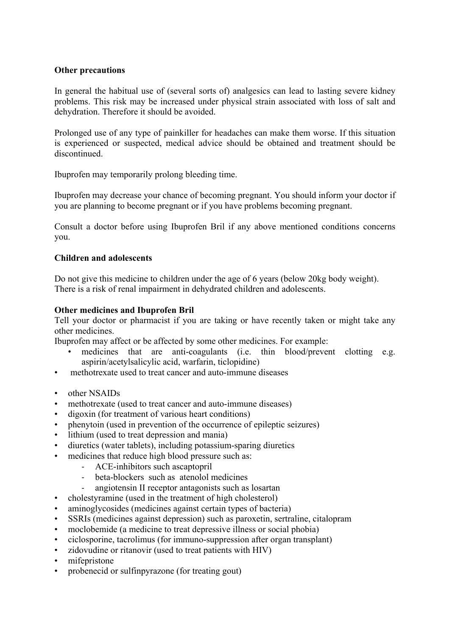#### **Other precautions**

In general the habitual use of (several sorts of) analgesics can lead to lasting severe kidney problems. This risk may be increased under physical strain associated with loss of salt and dehydration. Therefore it should be avoided.

Prolonged use of any type of painkiller for headaches can make them worse. If this situation is experienced or suspected, medical advice should be obtained and treatment should be discontinued.

Ibuprofen may temporarily prolong bleeding time.

Ibuprofen may decrease your chance of becoming pregnant. You should inform your doctor if you are planning to become pregnant or if you have problems becoming pregnant.

Consult a doctor before using Ibuprofen Bril if any above mentioned conditions concerns you.

#### **Children and adolescents**

Do not give this medicine to children under the age of 6 years (below 20kg body weight). There is a risk of renal impairment in dehydrated children and adolescents.

#### **Other medicines and Ibuprofen Bril**

Tell your doctor or pharmacist if you are taking or have recently taken or might take any other medicines.

Ibuprofen may affect or be affected by some other medicines. For example:

- medicines that are anti-coagulants (i.e. thin blood/prevent clotting e.g. aspirin/acetylsalicylic acid, warfarin, ticlopidine)
- methotrexate used to treat cancer and auto-immune diseases
- other NSAIDs
- methotrexate (used to treat cancer and auto-immune diseases)
- digoxin (for treatment of various heart conditions)
- phenytoin (used in prevention of the occurrence of epileptic seizures)
- lithium (used to treat depression and mania)
- diuretics (water tablets), including potassium-sparing diuretics
- medicines that reduce high blood pressure such as:
	- ‐ ACE-inhibitors such ascaptopril
	- ‐ beta-blockers such as atenolol medicines
	- ‐ angiotensin II receptor antagonists such as losartan
- cholestyramine (used in the treatment of high cholesterol)
- aminoglycosides (medicines against certain types of bacteria)
- SSRIs (medicines against depression) such as paroxetin, sertraline, citalopram
- moclobemide (a medicine to treat depressive illness or social phobia)
- ciclosporine, tacrolimus (for immuno-suppression after organ transplant)
- zidovudine or ritanovir (used to treat patients with HIV)
- mifepristone
- probenecid or sulfinpyrazone (for treating gout)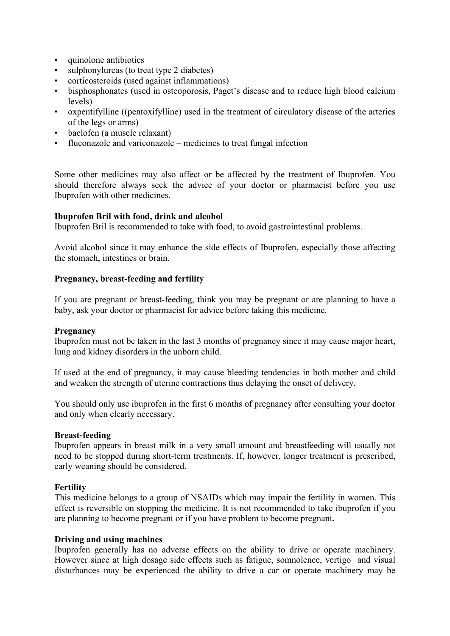- quinolone antibiotics
- sulphonylureas (to treat type 2 diabetes)
- corticosteroids (used against inflammations)
- bisphosphonates (used in osteoporosis, Paget's disease and to reduce high blood calcium levels)
- oxpentifylline ((pentoxifylline) used in the treatment of circulatory disease of the arteries of the legs or arms)
- baclofen (a muscle relaxant)
- fluconazole and variconazole medicines to treat fungal infection

Some other medicines may also affect or be affected by the treatment of Ibuprofen. You should therefore always seek the advice of your doctor or pharmacist before you use Ibuprofen with other medicines.

#### **Ibuprofen Bril with food, drink and alcohol**

Ibuprofen Bril is recommended to take with food, to avoid gastrointestinal problems.

Avoid alcohol since it may enhance the side effects of Ibuprofen, especially those affecting the stomach, intestines or brain.

## **Pregnancy, breast-feeding and fertility**

If you are pregnant or breast-feeding, think you may be pregnant or are planning to have a baby, ask your doctor or pharmacist for advice before taking this medicine.

#### **Pregnancy**

Ibuprofen must not be taken in the last 3 months of pregnancy since it may cause major heart, lung and kidney disorders in the unborn child.

If used at the end of pregnancy, it may cause bleeding tendencies in both mother and child and weaken the strength of uterine contractions thus delaying the onset of delivery.

You should only use ibuprofen in the first 6 months of pregnancy after consulting your doctor and only when clearly necessary.

#### **Breast-feeding**

Ibuprofen appears in breast milk in a very small amount and breastfeeding will usually not need to be stopped during short-term treatments. If, however, longer treatment is prescribed, early weaning should be considered.

#### **Fertility**

This medicine belongs to a group of NSAIDs which may impair the fertility in women. This effect is reversible on stopping the medicine. It is not recommended to take ibuprofen if you are planning to become pregnant or if you have problem to become pregnant**.** 

#### **Driving and using machines**

Ibuprofen generally has no adverse effects on the ability to drive or operate machinery. However since at high dosage side effects such as fatigue, somnolence, vertigo and visual disturbances may be experienced the ability to drive a car or operate machinery may be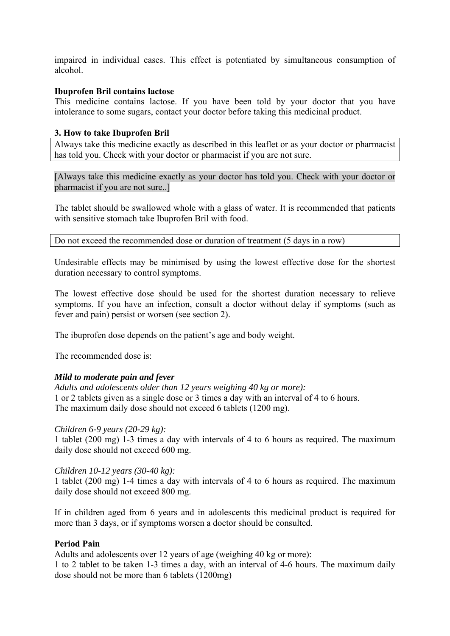impaired in individual cases. This effect is potentiated by simultaneous consumption of alcohol.

#### **Ibuprofen Bril contains lactose**

This medicine contains lactose. If you have been told by your doctor that you have intolerance to some sugars, contact your doctor before taking this medicinal product.

## **3. How to take Ibuprofen Bril**

Always take this medicine exactly as described in this leaflet or as your doctor or pharmacist has told you. Check with your doctor or pharmacist if you are not sure.

[Always take this medicine exactly as your doctor has told you. Check with your doctor or pharmacist if you are not sure..]

The tablet should be swallowed whole with a glass of water. It is recommended that patients with sensitive stomach take Ibuprofen Bril with food.

Do not exceed the recommended dose or duration of treatment (5 days in a row)

Undesirable effects may be minimised by using the lowest effective dose for the shortest duration necessary to control symptoms.

The lowest effective dose should be used for the shortest duration necessary to relieve symptoms. If you have an infection, consult a doctor without delay if symptoms (such as fever and pain) persist or worsen (see section 2).

The ibuprofen dose depends on the patient's age and body weight.

The recommended dose is:

# *Mild to moderate pain and fever*

*Adults and adolescents older than 12 years weighing 40 kg or more):*  1 or 2 tablets given as a single dose or 3 times a day with an interval of 4 to 6 hours. The maximum daily dose should not exceed 6 tablets (1200 mg).

#### *Children 6-9 years (20-29 kg):*

1 tablet (200 mg) 1-3 times a day with intervals of 4 to 6 hours as required. The maximum daily dose should not exceed 600 mg.

#### *Children 10-12 years (30-40 kg):*

1 tablet (200 mg) 1-4 times a day with intervals of 4 to 6 hours as required. The maximum daily dose should not exceed 800 mg.

If in children aged from 6 years and in adolescents this medicinal product is required for more than 3 days, or if symptoms worsen a doctor should be consulted.

## **Period Pain**

Adults and adolescents over 12 years of age (weighing 40 kg or more): 1 to 2 tablet to be taken 1-3 times a day, with an interval of 4-6 hours. The maximum daily dose should not be more than 6 tablets (1200mg)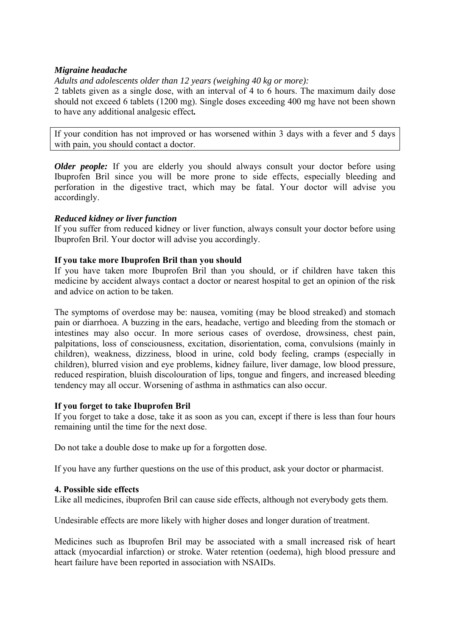## *Migraine headache*

*Adults and adolescents older than 12 years (weighing 40 kg or more):* 

2 tablets given as a single dose, with an interval of 4 to 6 hours. The maximum daily dose should not exceed 6 tablets (1200 mg). Single doses exceeding 400 mg have not been shown to have any additional analgesic effect*.* 

If your condition has not improved or has worsened within 3 days with a fever and 5 days with pain, you should contact a doctor.

*Older people:* If you are elderly you should always consult your doctor before using Ibuprofen Bril since you will be more prone to side effects, especially bleeding and perforation in the digestive tract, which may be fatal. Your doctor will advise you accordingly.

#### *Reduced kidney or liver function*

If you suffer from reduced kidney or liver function, always consult your doctor before using Ibuprofen Bril. Your doctor will advise you accordingly.

## **If you take more Ibuprofen Bril than you should**

If you have taken more Ibuprofen Bril than you should, or if children have taken this medicine by accident always contact a doctor or nearest hospital to get an opinion of the risk and advice on action to be taken.

The symptoms of overdose may be: nausea, vomiting (may be blood streaked) and stomach pain or diarrhoea. A buzzing in the ears, headache, vertigo and bleeding from the stomach or intestines may also occur. In more serious cases of overdose, drowsiness, chest pain, palpitations, loss of consciousness, excitation, disorientation, coma, convulsions (mainly in children), weakness, dizziness, blood in urine, cold body feeling, cramps (especially in children), blurred vision and eye problems, kidney failure, liver damage, low blood pressure, reduced respiration, bluish discolouration of lips, tongue and fingers, and increased bleeding tendency may all occur. Worsening of asthma in asthmatics can also occur.

#### **If you forget to take Ibuprofen Bril**

If you forget to take a dose, take it as soon as you can, except if there is less than four hours remaining until the time for the next dose.

Do not take a double dose to make up for a forgotten dose.

If you have any further questions on the use of this product, ask your doctor or pharmacist.

#### **4. Possible side effects**

Like all medicines, ibuprofen Bril can cause side effects, although not everybody gets them.

Undesirable effects are more likely with higher doses and longer duration of treatment.

Medicines such as Ibuprofen Bril may be associated with a small increased risk of heart attack (myocardial infarction) or stroke. Water retention (oedema), high blood pressure and heart failure have been reported in association with NSAIDs.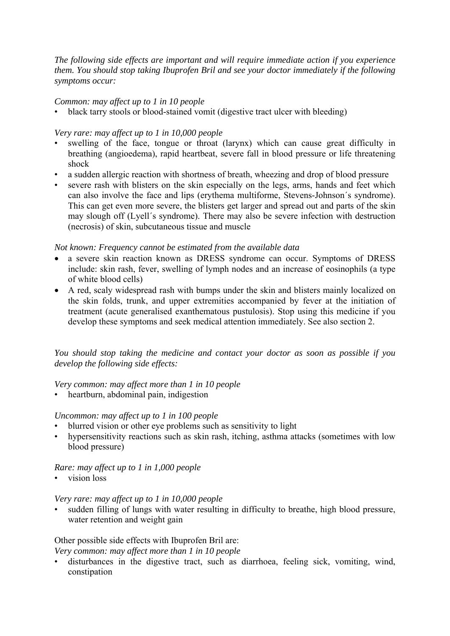*The following side effects are important and will require immediate action if you experience them. You should stop taking Ibuprofen Bril and see your doctor immediately if the following symptoms occur:* 

## *Common: may affect up to 1 in 10 people*

• black tarry stools or blood-stained vomit (digestive tract ulcer with bleeding)

## *Very rare: may affect up to 1 in 10,000 people*

- swelling of the face, tongue or throat (larynx) which can cause great difficulty in breathing (angioedema), rapid heartbeat, severe fall in blood pressure or life threatening shock
- a sudden allergic reaction with shortness of breath, wheezing and drop of blood pressure
- severe rash with blisters on the skin especially on the legs, arms, hands and feet which can also involve the face and lips (erythema multiforme, Stevens-Johnson´s syndrome). This can get even more severe, the blisters get larger and spread out and parts of the skin may slough off (Lyell´s syndrome). There may also be severe infection with destruction (necrosis) of skin, subcutaneous tissue and muscle

#### *Not known: Frequency cannot be estimated from the available data*

- a severe skin reaction known as DRESS syndrome can occur. Symptoms of DRESS include: skin rash, fever, swelling of lymph nodes and an increase of eosinophils (a type of white blood cells)
- A red, scaly widespread rash with bumps under the skin and blisters mainly localized on the skin folds, trunk, and upper extremities accompanied by fever at the initiation of treatment (acute generalised exanthematous pustulosis). Stop using this medicine if you develop these symptoms and seek medical attention immediately. See also section 2.

*You should stop taking the medicine and contact your doctor as soon as possible if you develop the following side effects:* 

# *Very common: may affect more than 1 in 10 people*

• heartburn, abdominal pain, indigestion

#### *Uncommon: may affect up to 1 in 100 people*

- blurred vision or other eye problems such as sensitivity to light
- hypersensitivity reactions such as skin rash, itching, asthma attacks (sometimes with low blood pressure)

## *Rare: may affect up to 1 in 1,000 people*

vision loss

#### *Very rare: may affect up to 1 in 10,000 people*

• sudden filling of lungs with water resulting in difficulty to breathe, high blood pressure, water retention and weight gain

#### Other possible side effects with Ibuprofen Bril are: *Very common: may affect more than 1 in 10 people*

• disturbances in the digestive tract, such as diarrhoea, feeling sick, vomiting, wind, constipation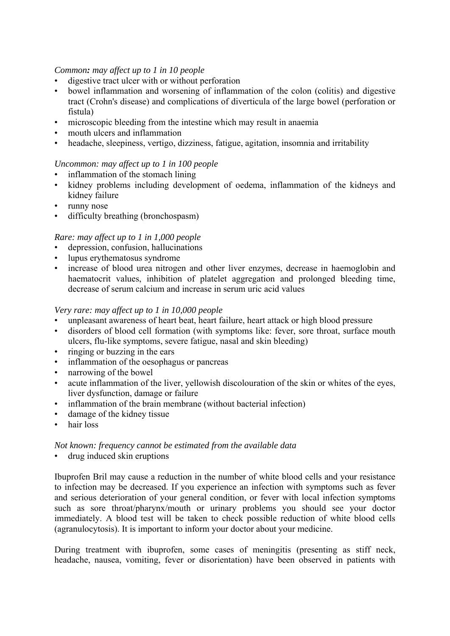#### *Common: may affect up to 1 in 10 people*

- digestive tract ulcer with or without perforation
- bowel inflammation and worsening of inflammation of the colon (colitis) and digestive tract (Crohn's disease) and complications of diverticula of the large bowel (perforation or fistula)
- microscopic bleeding from the intestine which may result in anaemia
- mouth ulcers and inflammation
- headache, sleepiness, vertigo, dizziness, fatigue, agitation, insomnia and irritability

## *Uncommon: may affect up to 1 in 100 people*

- inflammation of the stomach lining
- kidney problems including development of oedema, inflammation of the kidneys and kidney failure
- runny nose
- difficulty breathing (bronchospasm)

# *Rare: may affect up to 1 in 1,000 people*

- depression, confusion, hallucinations
- lupus erythematosus syndrome
- increase of blood urea nitrogen and other liver enzymes, decrease in haemoglobin and haematocrit values, inhibition of platelet aggregation and prolonged bleeding time, decrease of serum calcium and increase in serum uric acid values

#### *Very rare: may affect up to 1 in 10,000 people*

- unpleasant awareness of heart beat, heart failure, heart attack or high blood pressure
- disorders of blood cell formation (with symptoms like: fever, sore throat, surface mouth ulcers, flu-like symptoms, severe fatigue, nasal and skin bleeding)
- ringing or buzzing in the ears
- inflammation of the oesophagus or pancreas
- narrowing of the bowel
- acute inflammation of the liver, yellowish discolouration of the skin or whites of the eyes, liver dysfunction, damage or failure
- inflammation of the brain membrane (without bacterial infection)
- damage of the kidney tissue
- hair loss

#### *Not known: frequency cannot be estimated from the available data*

• drug induced skin eruptions

Ibuprofen Bril may cause a reduction in the number of white blood cells and your resistance to infection may be decreased. If you experience an infection with symptoms such as fever and serious deterioration of your general condition, or fever with local infection symptoms such as sore throat/pharynx/mouth or urinary problems you should see your doctor immediately. A blood test will be taken to check possible reduction of white blood cells (agranulocytosis). It is important to inform your doctor about your medicine.

During treatment with ibuprofen, some cases of meningitis (presenting as stiff neck, headache, nausea, vomiting, fever or disorientation) have been observed in patients with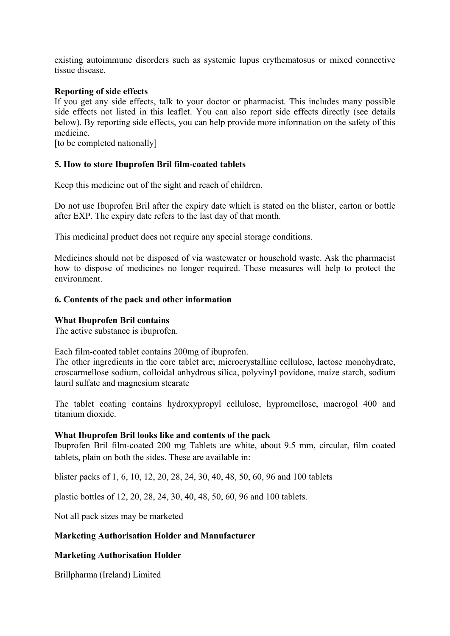existing autoimmune disorders such as systemic lupus erythematosus or mixed connective tissue disease.

#### **Reporting of side effects**

If you get any side effects, talk to your doctor or pharmacist. This includes many possible side effects not listed in this leaflet. You can also report side effects directly (see details below). By reporting side effects, you can help provide more information on the safety of this medicine.

[to be completed nationally]

#### **5. How to store Ibuprofen Bril film-coated tablets**

Keep this medicine out of the sight and reach of children.

Do not use Ibuprofen Bril after the expiry date which is stated on the blister, carton or bottle after EXP. The expiry date refers to the last day of that month.

This medicinal product does not require any special storage conditions.

Medicines should not be disposed of via wastewater or household waste. Ask the pharmacist how to dispose of medicines no longer required. These measures will help to protect the environment.

#### **6. Contents of the pack and other information**

#### **What Ibuprofen Bril contains**

The active substance is ibuprofen.

Each film-coated tablet contains 200mg of ibuprofen.

The other ingredients in the core tablet are; microcrystalline cellulose, lactose monohydrate, croscarmellose sodium, colloidal anhydrous silica, polyvinyl povidone, maize starch, sodium lauril sulfate and magnesium stearate

The tablet coating contains hydroxypropyl cellulose, hypromellose, macrogol 400 and titanium dioxide.

#### **What Ibuprofen Bril looks like and contents of the pack**

Ibuprofen Bril film-coated 200 mg Tablets are white, about 9.5 mm, circular, film coated tablets, plain on both the sides. These are available in:

blister packs of 1, 6, 10, 12, 20, 28, 24, 30, 40, 48, 50, 60, 96 and 100 tablets

plastic bottles of 12, 20, 28, 24, 30, 40, 48, 50, 60, 96 and 100 tablets.

Not all pack sizes may be marketed

#### **Marketing Authorisation Holder and Manufacturer**

#### **Marketing Authorisation Holder**

Brillpharma (Ireland) Limited